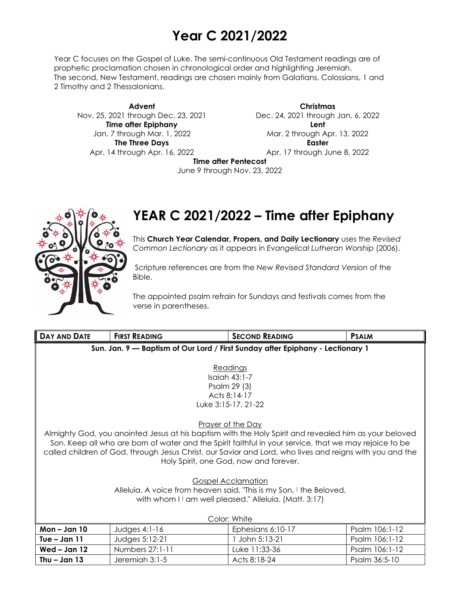# **Year C 2021/2022**

Year C focuses on the Gospel of Luke. The semi-continuous Old Testament readings are of prophetic proclamation chosen in chronological order and highlighting Jeremiah. The second, New Testament, readings are chosen mainly from Galatians, Colossians, 1 and 2 Timothy and 2 Thessalonians.

**Advent** Nov. 25, 2021 through Dec. 23, 2021 **Time after Epiphany** Jan. 7 through Mar. 1, 2022 **The Three Days** Apr. 14 through Apr. 16, 2022

**Christmas** Dec. 24, 2021 through Jan. 6, 2022 **Lent** Mar. 2 through Apr. 13, 2022 **Easter** Apr. 17 through June 8, 2022

**Time after Pentecost**

June 9 through Nov. 23, 2022



## **YEAR C 2021/2022 – Time after Epiphany**

This **Church Year Calendar, Propers, and Daily Lectionary** uses the *Revised Common Lectionary* as it appears in *Evangelical Lutheran Worship* (2006).

Scripture references are from the *New Revised Standard Version* of the Bible.

The appointed psalm refrain for Sundays and festivals comes from the verse in parentheses.

| DAY AND DATE                                                                   | <b>FIRST READING</b> | <b>SECOND READING</b>                                                                                    | <b>PSALM</b>   |  |
|--------------------------------------------------------------------------------|----------------------|----------------------------------------------------------------------------------------------------------|----------------|--|
| Sun. Jan. 9 - Baptism of Our Lord / First Sunday after Epiphany - Lectionary 1 |                      |                                                                                                          |                |  |
|                                                                                |                      |                                                                                                          |                |  |
|                                                                                |                      | Readings                                                                                                 |                |  |
|                                                                                |                      | $Isqich 43:1-7$                                                                                          |                |  |
|                                                                                |                      | Psalm 29 (3)<br>Acts 8:14-17                                                                             |                |  |
|                                                                                |                      | Luke 3:15-17, 21-22                                                                                      |                |  |
|                                                                                |                      |                                                                                                          |                |  |
| Prayer of the Day                                                              |                      |                                                                                                          |                |  |
|                                                                                |                      | Almighty God, you anointed Jesus at his baptism with the Holy Spirit and revealed him as your beloved    |                |  |
|                                                                                |                      | Son. Keep all who are born of water and the Spirit faithful in your service, that we may rejoice to be   |                |  |
|                                                                                |                      | called children of God, through Jesus Christ, our Savior and Lord, who lives and reigns with you and the |                |  |
| Holy Spirit, one God, now and forever.                                         |                      |                                                                                                          |                |  |
|                                                                                |                      |                                                                                                          |                |  |
|                                                                                |                      | <b>Gospel Acclamation</b>                                                                                |                |  |
| Alleluia. A voice from heaven said, "This is my Son, I the Beloved,            |                      |                                                                                                          |                |  |
| with whom I I am well pleased." Alleluia. (Matt. 3:17)                         |                      |                                                                                                          |                |  |
|                                                                                |                      |                                                                                                          |                |  |
| Color: White                                                                   |                      |                                                                                                          |                |  |
| $Mon - Jan 10$                                                                 | Judges $4:1-16$      | Ephesians 6:10-17                                                                                        | Psalm 106:1-12 |  |
| Tue – Jan $11$                                                                 | Judges 5:12-21       | John 5:13-21                                                                                             | Psalm 106:1-12 |  |
| Wed $-$ Jan 12                                                                 | Numbers 27:1-11      | Luke 11:33-36                                                                                            | Psalm 106:1-12 |  |
| Thu $-$ Jan 13                                                                 | Jeremiah 3:1-5       | Acts 8:18-24                                                                                             | Psalm 36:5-10  |  |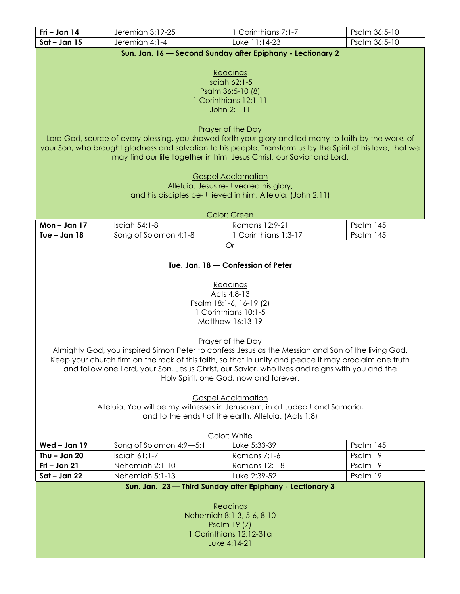| Fri - Jan 14                                                                 | Jeremiah 3:19-25                                                                                            | 1 Corinthians 7:1-7                                                                                     | Psalm 36:5-10 |
|------------------------------------------------------------------------------|-------------------------------------------------------------------------------------------------------------|---------------------------------------------------------------------------------------------------------|---------------|
| $Sat - Jan 15$                                                               | Jeremiah 4:1-4                                                                                              | Luke 11:14-23                                                                                           | Psalm 36:5-10 |
|                                                                              |                                                                                                             | Sun. Jan. 16 - Second Sunday after Epiphany - Lectionary 2                                              |               |
|                                                                              |                                                                                                             |                                                                                                         |               |
|                                                                              |                                                                                                             | Readings                                                                                                |               |
|                                                                              |                                                                                                             | <b>Isaiah 62:1-5</b>                                                                                    |               |
|                                                                              |                                                                                                             | Psalm 36:5-10 (8)<br>1 Corinthians 12:1-11                                                              |               |
|                                                                              |                                                                                                             | John 2:1-11                                                                                             |               |
|                                                                              |                                                                                                             |                                                                                                         |               |
|                                                                              |                                                                                                             | Prayer of the Day                                                                                       |               |
|                                                                              | Lord God, source of every blessing, you showed forth your glory and led many to faith by the works of       |                                                                                                         |               |
|                                                                              | your Son, who brought gladness and salvation to his people. Transform us by the Spirit of his love, that we |                                                                                                         |               |
|                                                                              | may find our life together in him, Jesus Christ, our Savior and Lord.                                       |                                                                                                         |               |
|                                                                              |                                                                                                             |                                                                                                         |               |
|                                                                              |                                                                                                             | <b>Gospel Acclamation</b>                                                                               |               |
|                                                                              |                                                                                                             | Alleluia. Jesus re- I vealed his glory,<br>and his disciples be- I lieved in him. Alleluia. (John 2:11) |               |
|                                                                              |                                                                                                             |                                                                                                         |               |
|                                                                              |                                                                                                             | Color: Green                                                                                            |               |
| $Mon - Jan 17$                                                               | Isaiah 54:1-8                                                                                               | Romans 12:9-21                                                                                          | Psalm 145     |
| Tue $-$ Jan 18                                                               | Song of Solomon 4:1-8                                                                                       | 1 Corinthians 1:3-17                                                                                    | Psalm 145     |
|                                                                              |                                                                                                             | <b>Or</b>                                                                                               |               |
|                                                                              |                                                                                                             |                                                                                                         |               |
|                                                                              |                                                                                                             | Tue. Jan. 18 - Confession of Peter                                                                      |               |
|                                                                              |                                                                                                             |                                                                                                         |               |
|                                                                              |                                                                                                             | Readings                                                                                                |               |
|                                                                              |                                                                                                             | Acts 4:8-13                                                                                             |               |
|                                                                              |                                                                                                             | Psalm 18:1-6, 16-19 (2)                                                                                 |               |
|                                                                              |                                                                                                             | 1 Corinthians 10:1-5                                                                                    |               |
|                                                                              |                                                                                                             | Matthew 16:13-19                                                                                        |               |
|                                                                              |                                                                                                             |                                                                                                         |               |
|                                                                              | Almighty God, you inspired Simon Peter to confess Jesus as the Messiah and Son of the living God.           | Prayer of the Day                                                                                       |               |
|                                                                              | Keep your church firm on the rock of this faith, so that in unity and peace it may proclaim one truth       |                                                                                                         |               |
|                                                                              | and follow one Lord, your Son, Jesus Christ, our Savior, who lives and reigns with you and the              |                                                                                                         |               |
|                                                                              |                                                                                                             | Holy Spirit, one God, now and forever.                                                                  |               |
|                                                                              |                                                                                                             |                                                                                                         |               |
|                                                                              |                                                                                                             | <b>Gospel Acclamation</b>                                                                               |               |
| Alleluia. You will be my witnesses in Jerusalem, in all Judea I and Samaria, |                                                                                                             |                                                                                                         |               |
| and to the ends I of the earth. Alleluia. (Acts 1:8)                         |                                                                                                             |                                                                                                         |               |
|                                                                              |                                                                                                             |                                                                                                         |               |
|                                                                              |                                                                                                             | Color: White                                                                                            |               |
| Wed - Jan 19                                                                 | Song of Solomon 4:9-5:1                                                                                     | Luke 5:33-39                                                                                            | Psalm 145     |
| Thu $-$ Jan 20                                                               | <b>Isaiah 61:1-7</b>                                                                                        | Romans 7:1-6                                                                                            | Psalm 19      |
| Fri - Jan 21                                                                 | Nehemiah 2:1-10                                                                                             | Romans 12:1-8                                                                                           | Psalm 19      |
| Sat - Jan 22                                                                 | Nehemiah 5:1-13                                                                                             | Luke 2:39-52                                                                                            | Psalm 19      |
|                                                                              |                                                                                                             | Sun. Jan. 23 - Third Sunday after Epiphany - Lectionary 3                                               |               |
|                                                                              |                                                                                                             |                                                                                                         |               |
| Readings<br>Nehemiah 8:1-3, 5-6, 8-10                                        |                                                                                                             |                                                                                                         |               |
| Psalm 19 (7)                                                                 |                                                                                                             |                                                                                                         |               |
| 1 Corinthians 12:12-31a                                                      |                                                                                                             |                                                                                                         |               |
| Luke 4:14-21                                                                 |                                                                                                             |                                                                                                         |               |
|                                                                              |                                                                                                             |                                                                                                         |               |
|                                                                              |                                                                                                             |                                                                                                         |               |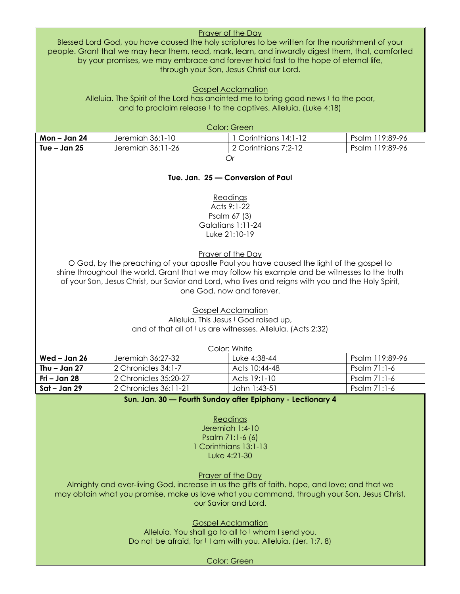| <b>Prayer of the Day</b><br>Blessed Lord God, you have caused the holy scriptures to be written for the nourishment of your<br>people. Grant that we may hear them, read, mark, learn, and inwardly digest them, that, comforted<br>by your promises, we may embrace and forever hold fast to the hope of eternal life,<br>through your Son, Jesus Christ our Lord. |                                                                                    |                                                                                               |                 |
|---------------------------------------------------------------------------------------------------------------------------------------------------------------------------------------------------------------------------------------------------------------------------------------------------------------------------------------------------------------------|------------------------------------------------------------------------------------|-----------------------------------------------------------------------------------------------|-----------------|
|                                                                                                                                                                                                                                                                                                                                                                     | Alleluia. The Spirit of the Lord has anointed me to bring good news I to the poor, | <b>Gospel Acclamation</b><br>and to proclaim release I to the captives. Alleluia. (Luke 4:18) |                 |
|                                                                                                                                                                                                                                                                                                                                                                     |                                                                                    |                                                                                               |                 |
| Mon-Jan 24                                                                                                                                                                                                                                                                                                                                                          | Jeremiah 36:1-10                                                                   | Color: Green<br>1 Corinthians 14:1-12                                                         | Psalm 119:89-96 |
| Tue $-$ Jan 25                                                                                                                                                                                                                                                                                                                                                      | Jeremiah 36:11-26                                                                  | 2 Corinthians 7:2-12                                                                          | Psalm 119:89-96 |
|                                                                                                                                                                                                                                                                                                                                                                     |                                                                                    | Or                                                                                            |                 |
|                                                                                                                                                                                                                                                                                                                                                                     |                                                                                    | Tue. Jan. 25 - Conversion of Paul<br>Readings                                                 |                 |
|                                                                                                                                                                                                                                                                                                                                                                     |                                                                                    | Acts 9:1-22                                                                                   |                 |
|                                                                                                                                                                                                                                                                                                                                                                     |                                                                                    | Psalm 67 (3)                                                                                  |                 |
|                                                                                                                                                                                                                                                                                                                                                                     |                                                                                    | Galatians 1:11-24                                                                             |                 |
|                                                                                                                                                                                                                                                                                                                                                                     |                                                                                    | Luke 21:10-19                                                                                 |                 |
| Prayer of the Day<br>O God, by the preaching of your apostle Paul you have caused the light of the gospel to<br>shine throughout the world. Grant that we may follow his example and be witnesses to the truth<br>of your Son, Jesus Christ, our Savior and Lord, who lives and reigns with you and the Holy Spirit,<br>one God, now and forever.                   |                                                                                    |                                                                                               |                 |
|                                                                                                                                                                                                                                                                                                                                                                     |                                                                                    | <b>Gospel Acclamation</b><br>Alleluia. This Jesus I God raised up,                            |                 |
|                                                                                                                                                                                                                                                                                                                                                                     |                                                                                    | and of that all of I us are witnesses. Alleluia. (Acts 2:32)                                  |                 |
|                                                                                                                                                                                                                                                                                                                                                                     |                                                                                    | Color: White                                                                                  |                 |
| Wed - Jan 26                                                                                                                                                                                                                                                                                                                                                        | Jeremiah 36:27-32                                                                  | Luke 4:38-44                                                                                  | Psalm 119:89-96 |
| Thu $-$ Jan 27                                                                                                                                                                                                                                                                                                                                                      | 2 Chronicles 34:1-7                                                                | Acts 10:44-48                                                                                 | Psalm 71:1-6    |
| Fri - Jan 28                                                                                                                                                                                                                                                                                                                                                        | 2 Chronicles 35:20-27                                                              | Acts 19:1-10                                                                                  | Psalm 71:1-6    |
| $Sat - Jan 29$                                                                                                                                                                                                                                                                                                                                                      | 2 Chronicles 36:11-21                                                              | John 1:43-51                                                                                  | Psalm 71:1-6    |
|                                                                                                                                                                                                                                                                                                                                                                     |                                                                                    | Sun. Jan. 30 - Fourth Sunday after Epiphany - Lectionary 4                                    |                 |
| Readings<br>Jeremiah 1:4-10<br>Psalm 71:1-6 (6)<br>1 Corinthians 13:1-13<br>Luke 4:21-30                                                                                                                                                                                                                                                                            |                                                                                    |                                                                                               |                 |
| <b>Prayer of the Day</b><br>Almighty and ever-living God, increase in us the gifts of faith, hope, and love; and that we<br>may obtain what you promise, make us love what you command, through your Son, Jesus Christ,<br>our Savior and Lord.                                                                                                                     |                                                                                    |                                                                                               |                 |
| <b>Gospel Acclamation</b><br>Alleluia. You shall go to all to I whom I send you.<br>Do not be afraid, for I I am with you. Alleluia. (Jer. 1:7, 8)                                                                                                                                                                                                                  |                                                                                    |                                                                                               |                 |
| Color: Green                                                                                                                                                                                                                                                                                                                                                        |                                                                                    |                                                                                               |                 |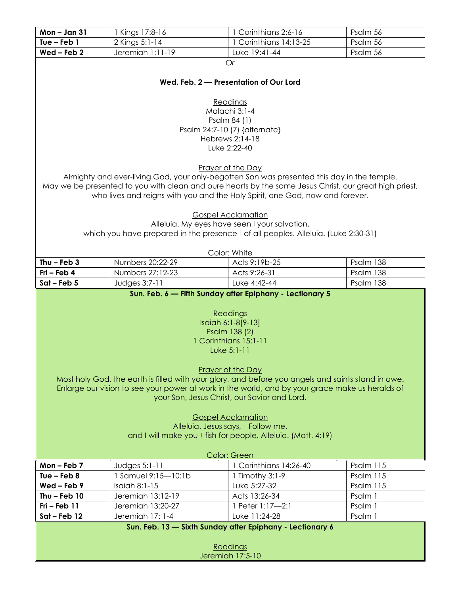| Mon-Jan 31                                                                                                                                                                                                                                                                                                                                                                                                                                                                                                                                                                   | 1 Kings 17:8-16                                                                                        | Corinthians 2:6-16                                                         | Psalm 56             |  |
|------------------------------------------------------------------------------------------------------------------------------------------------------------------------------------------------------------------------------------------------------------------------------------------------------------------------------------------------------------------------------------------------------------------------------------------------------------------------------------------------------------------------------------------------------------------------------|--------------------------------------------------------------------------------------------------------|----------------------------------------------------------------------------|----------------------|--|
| Tue $-$ Feb $1$                                                                                                                                                                                                                                                                                                                                                                                                                                                                                                                                                              | 2 Kings 5:1-14                                                                                         | Corinthians 14:13-25                                                       | Psalm 56             |  |
| $Wed$ – Feb 2                                                                                                                                                                                                                                                                                                                                                                                                                                                                                                                                                                | Jeremiah 1:11-19                                                                                       | Luke 19:41-44                                                              | Psalm 56             |  |
|                                                                                                                                                                                                                                                                                                                                                                                                                                                                                                                                                                              |                                                                                                        | Or                                                                         |                      |  |
| Wed. Feb. 2 - Presentation of Our Lord                                                                                                                                                                                                                                                                                                                                                                                                                                                                                                                                       |                                                                                                        |                                                                            |                      |  |
|                                                                                                                                                                                                                                                                                                                                                                                                                                                                                                                                                                              |                                                                                                        | Readings<br>Malachi 3:1-4                                                  |                      |  |
|                                                                                                                                                                                                                                                                                                                                                                                                                                                                                                                                                                              |                                                                                                        | Psalm 84 (1)                                                               |                      |  |
|                                                                                                                                                                                                                                                                                                                                                                                                                                                                                                                                                                              |                                                                                                        | Psalm 24:7-10 (7) {alternate}                                              |                      |  |
|                                                                                                                                                                                                                                                                                                                                                                                                                                                                                                                                                                              |                                                                                                        | Hebrews 2:14-18                                                            |                      |  |
|                                                                                                                                                                                                                                                                                                                                                                                                                                                                                                                                                                              |                                                                                                        | Luke 2:22-40                                                               |                      |  |
|                                                                                                                                                                                                                                                                                                                                                                                                                                                                                                                                                                              |                                                                                                        | Prayer of the Day                                                          |                      |  |
|                                                                                                                                                                                                                                                                                                                                                                                                                                                                                                                                                                              | Almighty and ever-living God, your only-begotten Son was presented this day in the temple.             |                                                                            |                      |  |
|                                                                                                                                                                                                                                                                                                                                                                                                                                                                                                                                                                              | May we be presented to you with clean and pure hearts by the same Jesus Christ, our great high priest, |                                                                            |                      |  |
|                                                                                                                                                                                                                                                                                                                                                                                                                                                                                                                                                                              | who lives and reigns with you and the Holy Spirit, one God, now and forever.                           |                                                                            |                      |  |
|                                                                                                                                                                                                                                                                                                                                                                                                                                                                                                                                                                              |                                                                                                        |                                                                            |                      |  |
|                                                                                                                                                                                                                                                                                                                                                                                                                                                                                                                                                                              |                                                                                                        | <b>Gospel Acclamation</b><br>Alleluia. My eyes have seen I your salvation, |                      |  |
|                                                                                                                                                                                                                                                                                                                                                                                                                                                                                                                                                                              | which you have prepared in the presence I of all peoples. Alleluia. (Luke 2:30-31)                     |                                                                            |                      |  |
|                                                                                                                                                                                                                                                                                                                                                                                                                                                                                                                                                                              |                                                                                                        |                                                                            |                      |  |
|                                                                                                                                                                                                                                                                                                                                                                                                                                                                                                                                                                              |                                                                                                        | Color: White                                                               |                      |  |
| Thu $-$ Feb 3                                                                                                                                                                                                                                                                                                                                                                                                                                                                                                                                                                | Numbers 20:22-29                                                                                       | Acts 9:19b-25                                                              | Psalm 138            |  |
| $Fri - Feb 4$                                                                                                                                                                                                                                                                                                                                                                                                                                                                                                                                                                | Numbers 27:12-23                                                                                       | Acts 9:26-31                                                               | Psalm 138            |  |
| $Sat - Feb 5$                                                                                                                                                                                                                                                                                                                                                                                                                                                                                                                                                                | Judges 3:7-11                                                                                          | Luke 4:42-44                                                               | Psalm 138            |  |
| Sun. Feb. 6 - Fifth Sunday after Epiphany - Lectionary 5<br>Readings<br>Isaiah 6:1-8[9-13]<br>Psalm 138 (2)<br>1 Corinthians 15:1-11<br>Luke 5:1-11<br><b>Prayer of the Day</b><br>Most holy God, the earth is filled with your glory, and before you angels and saints stand in awe.<br>Enlarge our vision to see your power at work in the world, and by your grace make us heralds of<br>your Son, Jesus Christ, our Savior and Lord.<br><b>Gospel Acclamation</b><br>Alleluia. Jesus says, I Follow me,<br>and I will make you I fish for people. Alleluia. (Matt. 4:19) |                                                                                                        |                                                                            |                      |  |
| Color: Green                                                                                                                                                                                                                                                                                                                                                                                                                                                                                                                                                                 |                                                                                                        |                                                                            |                      |  |
| Mon-Feb 7                                                                                                                                                                                                                                                                                                                                                                                                                                                                                                                                                                    | Judges 5:1-11                                                                                          | 1 Corinthians 14:26-40                                                     | Psalm 115            |  |
| Tue $-$ Feb $8$                                                                                                                                                                                                                                                                                                                                                                                                                                                                                                                                                              | 1 Samuel 9:15-10:1b<br><b>Isaiah 8:1-15</b>                                                            | Timothy 3:1-9<br>Luke 5:27-32                                              | Psalm 115            |  |
| $Wed$ – Feb 9<br>Thu $-$ Feb 10                                                                                                                                                                                                                                                                                                                                                                                                                                                                                                                                              | Jeremiah 13:12-19                                                                                      | Acts 13:26-34                                                              | Psalm 115<br>Psalm 1 |  |
| $Fri - Feb$ 11                                                                                                                                                                                                                                                                                                                                                                                                                                                                                                                                                               | Jeremiah 13:20-27                                                                                      | 1 Peter 1:17-2:1                                                           | Psalm 1              |  |
| $Sat - Feb 12$                                                                                                                                                                                                                                                                                                                                                                                                                                                                                                                                                               | Jeremiah 17: 1-4                                                                                       | Luke 11:24-28                                                              | Psalm 1              |  |
|                                                                                                                                                                                                                                                                                                                                                                                                                                                                                                                                                                              |                                                                                                        | Sun. Feb. 13 - Sixth Sunday after Epiphany - Lectionary 6                  |                      |  |
| Readings<br>Jeremiah 17:5-10                                                                                                                                                                                                                                                                                                                                                                                                                                                                                                                                                 |                                                                                                        |                                                                            |                      |  |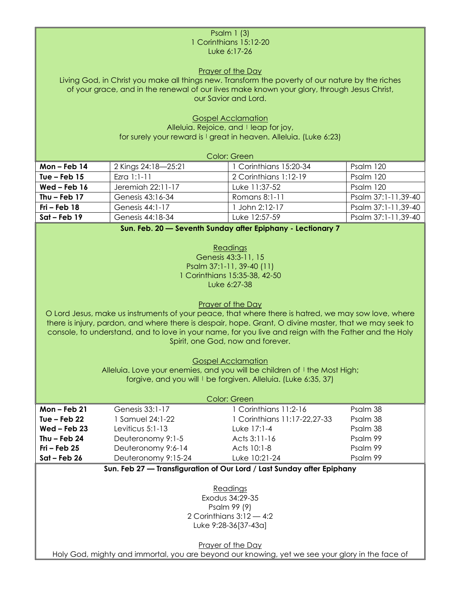#### Psalm 1 (3) 1 Corinthians 15:12-20 Luke 6:17-26

Prayer of the Day

Living God, in Christ you make all things new. Transform the poverty of our nature by the riches of your grace, and in the renewal of our lives make known your glory, through Jesus Christ, our Savior and Lord.

> Gospel Acclamation Alleluia. Rejoice, and I leap for joy,

for surely your reward is  $\frac{1}{2}$  great in heaven. Alleluia. (Luke 6:23)

| Color: Green   |                     |                        |                     |  |
|----------------|---------------------|------------------------|---------------------|--|
| Mon-Feb $14$   | 2 Kings 24:18-25:21 | 1 Corinthians 15:20-34 | Psalm 120           |  |
| Tue $-$ Feb 15 | Ezra $1:1-11$       | 2 Corinthians 1:12-19  | Psalm 120           |  |
| Wed – Feb $16$ | Jeremiah 22:11-17   | Tuke 11:37-52          | Psalm 120           |  |
| Thu $-$ Feb 17 | Genesis 43:16-34    | Romans 8:1-11          | Psalm 37:1-11,39-40 |  |
| $Fri - Feb 18$ | Genesis 44:1-17     | John 2:12-17           | Psalm 37:1-11,39-40 |  |
| $Sat$ – Feb 19 | Genesis 44:18-34    | Luke 12:57-59          | Psalm 37:1-11,39-40 |  |

**Sun. Feb. 20 — Seventh Sunday after Epiphany - Lectionary 7**

Readings Genesis 43:3-11, 15 Psalm 37:1-11, 39-40 (11) 1 Corinthians 15:35-38, 42-50 Luke 6:27-38

#### Prayer of the Day

O Lord Jesus, make us instruments of your peace, that where there is hatred, we may sow love, where there is injury, pardon, and where there is despair, hope. Grant, O divine master, that we may seek to console, to understand, and to love in your name, for you live and reign with the Father and the Holy Spirit, one God, now and forever.

Gospel Acclamation

Alleluia. Love your enemies, and you will be children of I the Most High; forgive, and you will I be forgiven. Alleluia. (Luke 6:35, 37)

| Color: Green   |                     |                              |          |  |
|----------------|---------------------|------------------------------|----------|--|
| Mon $-$ Feb 21 | Genesis 33:1-17     | 1 Corinthians 11:2-16        | Psalm 38 |  |
| Tue – Feb $22$ | 1 Samuel 24:1-22    | 1 Corinthians 11:17-22,27-33 | Psalm 38 |  |
| $Wed$ – Feb 23 | Leviticus 5:1-13    | Luke 17:1-4                  | Psalm 38 |  |
| Thu – Feb $24$ | Deuteronomy 9:1-5   | Acts 3:11-16                 | Psalm 99 |  |
| $Fri$ – Feb 25 | Deuteronomy 9:6-14  | Acts 10:1-8                  | Psalm 99 |  |
| $Sat - Feb 26$ | Deuteronomy 9:15-24 | Luke 10:21-24                | Psalm 99 |  |

### **Sun. Feb 27 — Transfiguration of Our Lord / Last Sunday after Epiphany**

Readings Exodus 34:29-35 Psalm 99 (9) 2 Corinthians 3:12 — 4:2 Luke 9:28-36[37-43a]

Prayer of the Day

Holy God, mighty and immortal, you are beyond our knowing, yet we see your glory in the face of